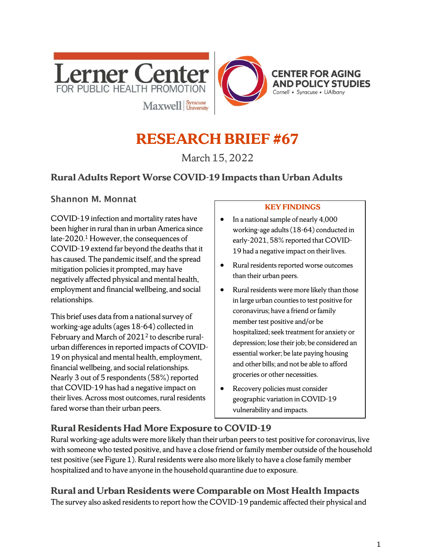

# **RESEARCH BRIEF #67**

March 15, 2022

# **Rural Adults Report Worse COVID-19 Impacts than Urban Adults**

## **Shannon M. Monnat**

COVID-19 infection and mortality rates have been higher in rural than in urban America since late-2020.<sup>1</sup> However, the consequences of COVID-19 extend far beyond the deaths that it has caused. The pandemic itself, and the spread mitigation policies it prompted, may have negatively affected physical and mental health, employment and financial wellbeing, and social relationships.

This brief uses data from a national survey of working-age adults (ages 18-64) collected in February and March of 2021<sup>2</sup> to describe ruralurban differences in reported impacts of COVID-19 on physical and mental health, employment, financial wellbeing, and social relationships. Nearly 3 out of 5 respondents (58%) reported that COVID-19 has had a negative impact on their lives. Across most outcomes, rural residents fared worse than their urban peers.

#### **KEY FINDINGS**

- In a national sample of nearly 4,000 working-age adults (18-64) conducted in early-2021, 58% reported that COVID-19 had a negative impact on their lives.
- Rural residents reported worse outcomes than their urban peers.
- Rural residents were more likely than those in large urban counties to test positive for coronavirus; have a friend or family member test positive and/or be hospitalized; seek treatment for anxiety or depression; lose their job; be considered an essential worker; be late paying housing and other bills; and not be able to afford groceries or other necessities.
- Recovery policies must consider geographic variation in COVID-19 vulnerability and impacts.

# **Rural Residents Had More Exposure to COVID-19**

Rural working-age adults were more likely than their urban peers to test positive for coronavirus, live with someone who tested positive, and have a close friend or family member outside of the household test positive (see Figure 1). Rural residents were also more likely to have a close family member hospitalized and to have anyone in the household quarantine due to exposure.

# **Rural and Urban Residents were Comparable on Most Health Impacts**

The survey also asked residents to report how the COVID-19 pandemic affected their physical and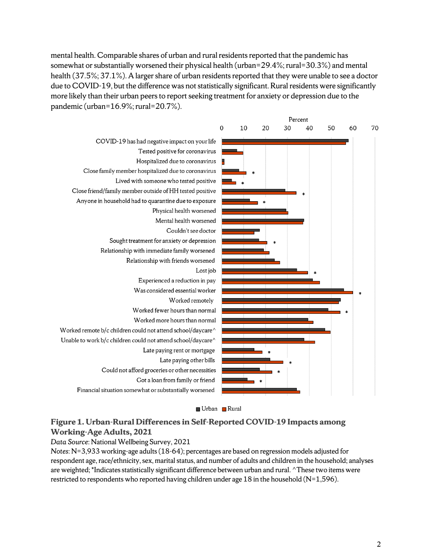mental health. Comparable shares of urban and rural residents reported that the pandemic has somewhat or substantially worsened their physical health (urban=29.4%; rural=30.3%) and mental health (37.5%; 37.1%). A larger share of urban residents reported that they were unable to see a doctor due to COVID-19, but the difference was not statistically significant. Rural residents were significantly more likely than their urban peers to report seeking treatment for anxiety or depression due to the pandemic (urban=16.9%; rural=20.7%).



Urban Rural

## **Figure 1. Urban-Rural Differences in Self-Reported COVID-19 Impacts among Working-Age Adults, 2021**

*Data Source*: National Wellbeing Survey, 2021

*Notes*: N=3,933 working-age adults (18-64); percentages are based on regression models adjusted for respondent age, race/ethnicity, sex, marital status, and number of adults and children in the household; analyses are weighted; \*Indicates statistically significant difference between urban and rural. ^These two items were restricted to respondents who reported having children under age 18 in the household (N=1,596).